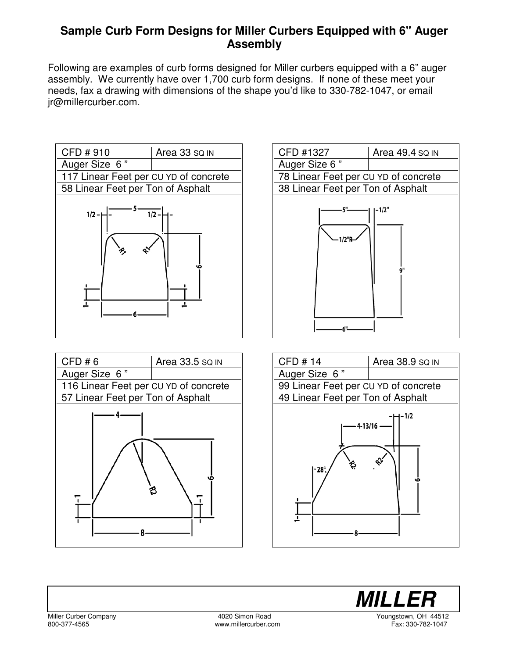## **Sample Curb Form Designs for Miller Curbers Equipped with 6" Auger Assembly**

Following are examples of curb forms designed for Miller curbers equipped with a 6" auger assembly. We currently have over 1,700 curb form designs. If none of these meet your needs, fax a drawing with dimensions of the shape you'd like to 330-782-1047, or email jr@millercurber.com.









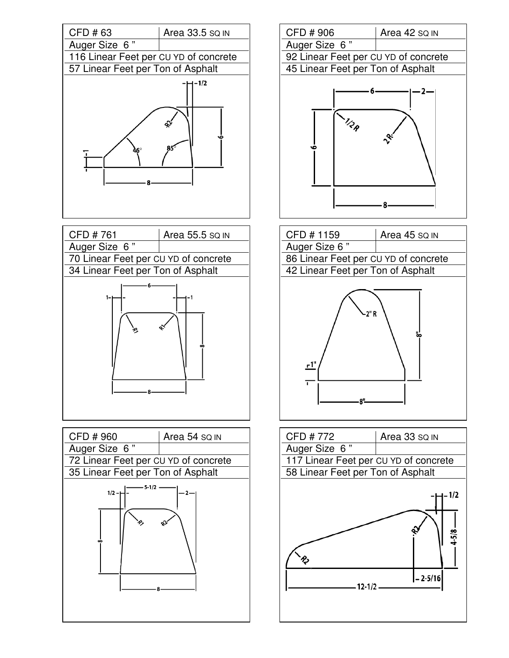





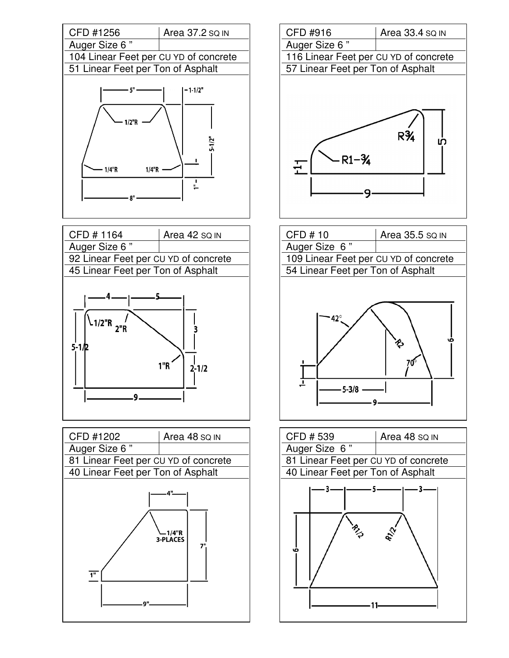

| CFD #1164                            | Area 42 SQ IN |
|--------------------------------------|---------------|
| Auger Size 6"                        |               |
| 92 Linear Feet per CU YD of concrete |               |
| 45 Linear Feet per Ton of Asphalt    |               |
| $\binom{1}{2}$ "R                    |               |